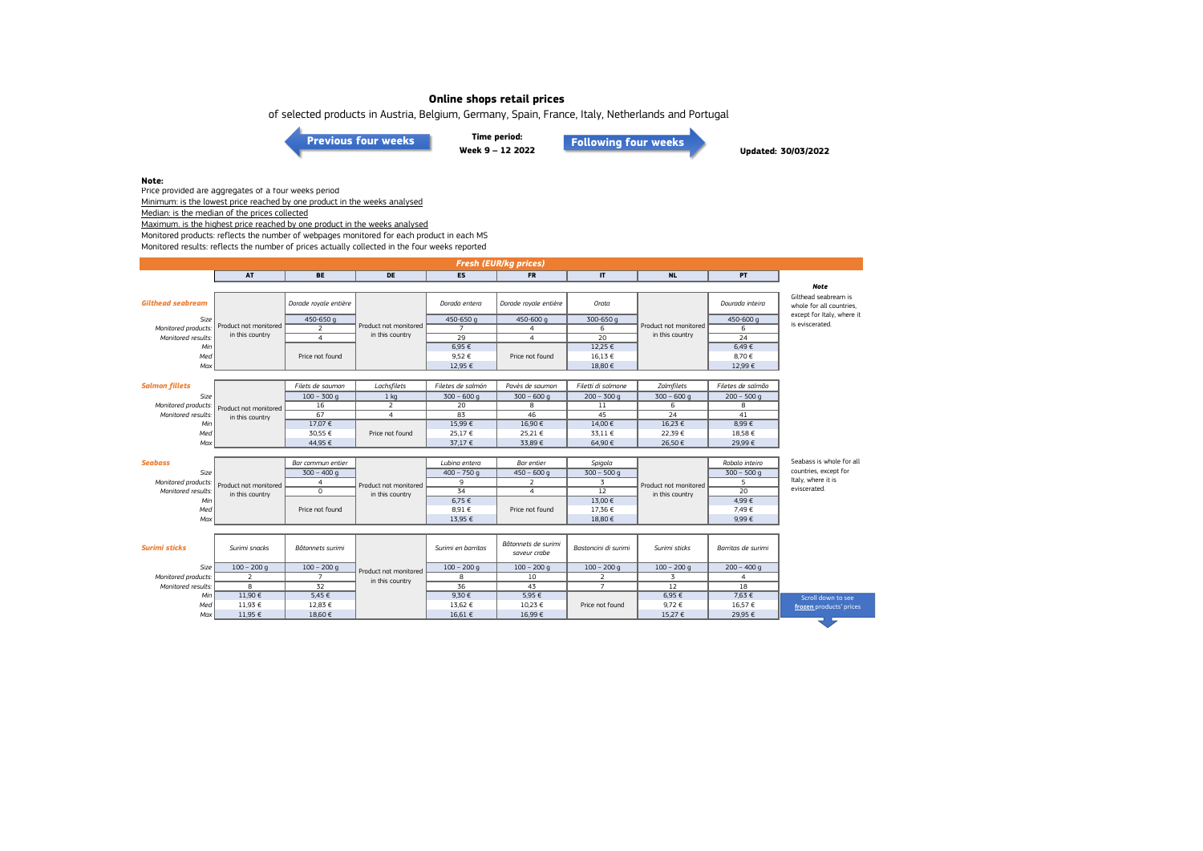of selected products in Austria, Belgium, Germany, Spain, France, Italy, Netherlands and Portugal

**[Previous four weeks](https://www.eumofa.eu/documents/20178/487668/W5-8_2022.pdf/3572ebda-382f-5c40-e638-6a295432d915?t=1646059482628)**

**Time period: Week 9 – 12 2022**

**[Following four weeks](https://www.eumofa.eu/documents/20178/487668/W13-16_2022.pdf/1808f088-9e2c-07aa-184d-58f0892cfaef?t=1651047786408)**

**Updated: 30/03/2022**

#### **Note:**

Price provided are aggregates of a four weeks period Minimum: is the lowest price reached by one product in the weeks analysed

Median: is the median of the prices collected

Maximum. is the highest price reached by one product in the weeks analysed

Monitored products: reflects the number of webpages monitored for each product in each MS

Monitored results: reflects the number of prices actually collected in the four weeks reported

| <b>Fresh (EUR/kg prices)</b> |                       |                       |                       |                    |                                     |                      |                       |                    |                                                  |  |
|------------------------------|-----------------------|-----------------------|-----------------------|--------------------|-------------------------------------|----------------------|-----------------------|--------------------|--------------------------------------------------|--|
|                              | AT                    | <b>BE</b>             | DE                    | <b>ES</b>          | <b>FR</b>                           | $\mathbf{I}$         | <b>NL</b>             | <b>PT</b>          |                                                  |  |
|                              |                       |                       |                       |                    |                                     |                      |                       |                    | <b>Note</b>                                      |  |
| <b>Gilthead seabream</b>     |                       | Dorade royale entière |                       | Dorada entera      | Dorade royale entière               | Orata                |                       | Dourada inteira    | Gilthead seabream is<br>whole for all countries, |  |
| Size                         |                       | 450-650 g             |                       | 450-650 g          | 450-600 g                           | 300-650 g            |                       | 450-600 g          | except for Italy, where it                       |  |
| Monitored products.          | Product not monitored | $\overline{2}$        | Product not monitored | $\overline{7}$     | 4                                   | 6                    | Product not monitored | 6                  | is eviscerated.                                  |  |
| Monitored results:           | in this country       | $\overline{4}$        | in this country       | $\overline{29}$    | $\overline{4}$                      | $\overline{20}$      | in this country       | 24                 |                                                  |  |
| Min                          |                       |                       |                       | 6,95€              |                                     | 12,25 €              |                       | 6,49€              |                                                  |  |
| Med                          |                       | Price not found       |                       | 9,52€              | Price not found                     | 16,13 €              |                       | 8,70€              |                                                  |  |
| Max                          |                       |                       |                       | 12,95 €            |                                     | 18,80 €              |                       | 12,99 €            |                                                  |  |
|                              |                       |                       |                       |                    |                                     |                      |                       |                    |                                                  |  |
| <b>Salmon fillets</b>        |                       | Filets de saumon      | Lachsfilets           | Filetes de salmón  | Pavès de saumon                     | Filetti di salmone   | Zalmfilets            | Filetes de salmão  |                                                  |  |
| Size                         |                       | $100 - 300$ q         | 1 <sub>kq</sub>       | $300 - 600q$       | $300 - 600q$                        | $200 - 300$ g        | $300 - 600q$          | $200 - 500$ q      |                                                  |  |
| Monitored products:          | Product not monitored | 16                    | $\overline{2}$        | 20                 | 8                                   | $11\,$               | 6                     | 8                  |                                                  |  |
| Monitored results:           | in this country       | 67                    | $\overline{4}$        | 83                 | 46                                  | 45                   | 24                    | 41                 |                                                  |  |
| Min                          |                       | 17,07 €               |                       | 15,99€             | 16,90€                              | 14,00 €              | 16,23 €               | 8.99€              |                                                  |  |
| Med                          |                       | 30.55 €               | Price not found       | 25,17€             | 25.21 €                             | 33,11 €              | 22.39€                | 18.58€             |                                                  |  |
| Max                          |                       | 44,95 €               |                       | 37,17 €            | 33,89€                              | 64,90€               | 26,50 €               | 29,99€             |                                                  |  |
|                              |                       |                       |                       |                    |                                     |                      |                       |                    |                                                  |  |
| <b>Seabass</b>               |                       | Bar commun entier     |                       | Lubina entera      | Bar entier                          | Spigola              | Product not monitored | Robalo inteiro     | Seabass is whole for all                         |  |
| Size                         | Product not monitored | $300 - 400q$          |                       | $400 - 750q$       | $450 - 600$ q                       | $300 - 500$ g        |                       | $300 - 500q$       | countries, except for                            |  |
| Monitored products:          |                       | $\overline{4}$        | Product not monitored | 9                  | 2                                   | $\overline{3}$       |                       | 5                  | Italy, where it is                               |  |
| Monitored results:           | in this country       | $\circ$               | in this country       | 34                 | $\overline{4}$                      | 12                   | in this country       | 20                 | eviscerated.                                     |  |
| Min                          |                       |                       |                       | 6,75 €             |                                     | 13,00 €              |                       | 4,99€              |                                                  |  |
| Med                          |                       | Price not found       |                       | 8,91€              | Price not found                     | 17,36 €              |                       | 7.49€              |                                                  |  |
| Max                          |                       |                       |                       | 13,95 €            |                                     | 18,80 €              |                       | 9,99€              |                                                  |  |
|                              |                       |                       |                       |                    |                                     |                      |                       |                    |                                                  |  |
| <b>Surimi sticks</b>         | Surimi snacks         | Bâtonnets surimi      |                       | Surimi en barritas | Bâtonnets de surimi<br>saveur crabe | Bastoncini di surimi | Surimi sticks         | Barritas de surimi |                                                  |  |
| Size                         | $100 - 200$ q         | $100 - 200$ q         | Product not monitored | $100 - 200$ q      | $100 - 200$ q                       | $100 - 200$ q        | $100 - 200$ q         | $200 - 400$ q      |                                                  |  |
| Monitored products:          | 2                     | $\overline{7}$        | in this country       | 8                  | 10                                  | 2                    | $\overline{3}$        | $\overline{4}$     |                                                  |  |
| Monitored results:           | 8                     | 32                    |                       | 36                 | 43                                  | $\overline{7}$       | 12                    | 18                 |                                                  |  |
| Min                          | 11,90€                | $5,45 \in$            |                       | 9,30€              | 5,95€                               |                      | 6,95 €                | 7,63 €             | Scroll down to see                               |  |
| Med                          | 11,93 €               | 12,83 €               |                       | 13,62 €            | 10,23 €                             | Price not found      | 9,72 €                | 16,57 €            | frozen products' prices                          |  |
| Max                          | 11,95 €               | 18.60 €               |                       | 16.61 €            | 16.99€                              |                      | 15,27 €               | 29.95 €            |                                                  |  |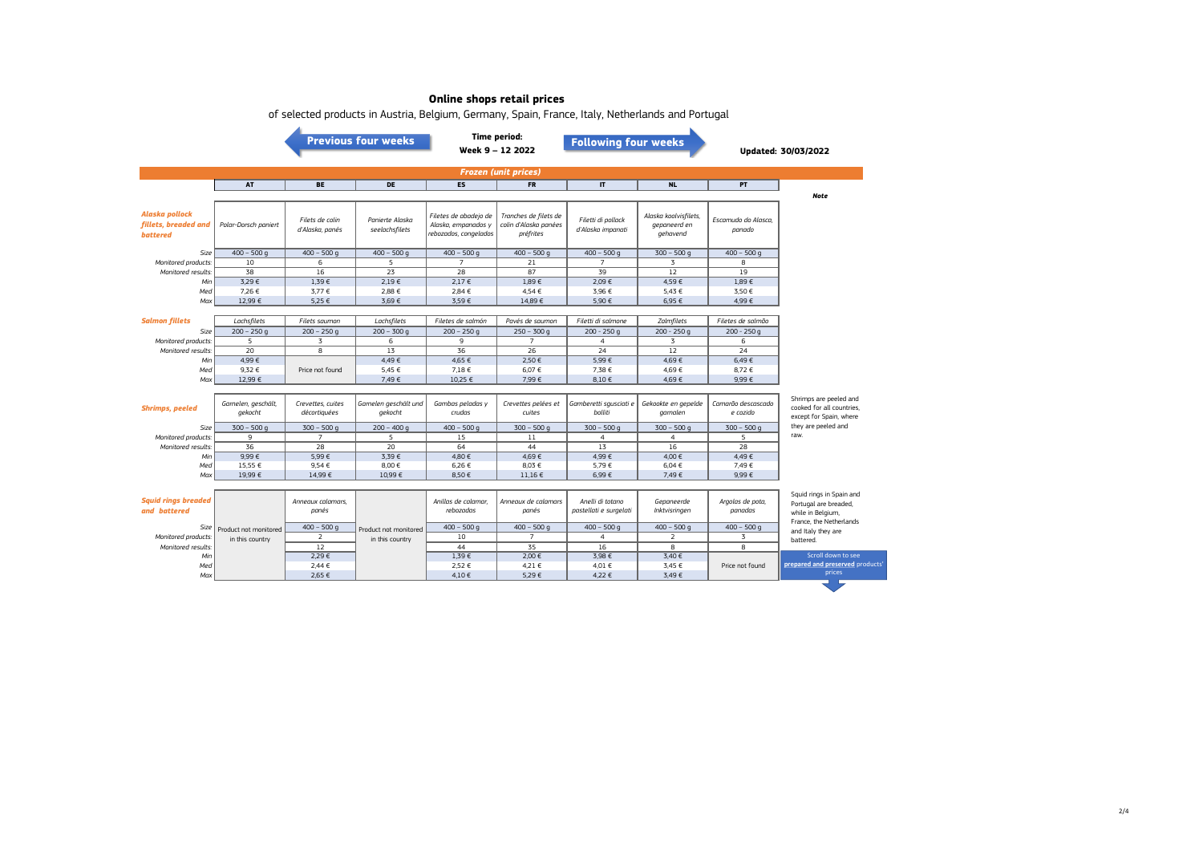|                                                           | <b>Previous four weeks</b>     |                                    |                                   |                                                                       | <b>Time period:</b><br><b>Following four weeks</b><br>Week 9 - 12 2022 |                                            |                                                   | <b>Updated: 30/03/2022</b>     |                                                                                                   |  |  |
|-----------------------------------------------------------|--------------------------------|------------------------------------|-----------------------------------|-----------------------------------------------------------------------|------------------------------------------------------------------------|--------------------------------------------|---------------------------------------------------|--------------------------------|---------------------------------------------------------------------------------------------------|--|--|
| <b>Frozen (unit prices)</b>                               |                                |                                    |                                   |                                                                       |                                                                        |                                            |                                                   |                                |                                                                                                   |  |  |
|                                                           | <b>AT</b>                      | <b>BE</b>                          | DE                                | <b>ES</b>                                                             | <b>FR</b>                                                              | $\mathbf{I}$                               | <b>NL</b>                                         | PT.                            | <b>Note</b>                                                                                       |  |  |
| Alaska pollock<br>fillets, breaded and<br><b>battered</b> | Polar-Dorsch paniert           | Filets de colin<br>d'Alaska, panés | Panierte Alaska<br>seelachsfilets | Filetes de abadejo de<br>Alaska, empanados y<br>rebozados, congelados | Tranches de filets de<br>colin d'Alaska panées<br>préfrites            | Filetti di pollack<br>d'Alaska impanati    | Alaska koolvisfilets,<br>gepaneerd en<br>gehavend | Escamudo do Alasca.<br>panado  |                                                                                                   |  |  |
| Size                                                      | $400 - 500$ q                  | $400 - 500q$                       | $400 - 500$ q                     | $400 - 500$ q                                                         | $400 - 500$ g                                                          | $400 - 500q$                               | $300 - 500$ q                                     | $400 - 500$ q                  |                                                                                                   |  |  |
| Monitored products:                                       | 10                             | 6                                  | 5                                 | $\overline{7}$                                                        | 21                                                                     | $\overline{7}$                             | $\overline{z}$                                    | 8                              |                                                                                                   |  |  |
| Monitored results:                                        | 38                             | 16                                 | 23                                | 28                                                                    | 87                                                                     | 39                                         | 12                                                | 19                             |                                                                                                   |  |  |
| Min                                                       | 3,29€                          | 1,39€                              | $2,19 \in$                        | 2,17€                                                                 | 1,89€                                                                  | 2,09€                                      | 4,59€                                             | 1,89€                          |                                                                                                   |  |  |
| Med                                                       | 7,26€                          | 3,77 €                             | 2,88 €                            | 2,84 €                                                                | 4,54 €                                                                 | 3,96 €                                     | 5,43 €                                            | 3,50€                          |                                                                                                   |  |  |
| Max                                                       | 12,99 €                        | 5,25 €                             | 3.69€                             | 3,59€                                                                 | 14,89€                                                                 | 5.90 €                                     | 6,95 €                                            | 4.99€                          |                                                                                                   |  |  |
| <b>Salmon fillets</b>                                     | Lachsfilets                    | Filets saumon                      | Lachsfilets                       | Filetes de salmón                                                     | Pavés de saumon                                                        | Filetti di salmone                         | Zalmfilets                                        | Filetes de salmão              |                                                                                                   |  |  |
| Size                                                      | $200 - 250q$                   | $200 - 250q$                       | $200 - 300q$                      | $200 - 250q$                                                          | $250 - 300q$                                                           | $200 - 250q$                               | $200 - 250q$                                      | $200 - 250q$                   |                                                                                                   |  |  |
| Monitored products:                                       | 5                              | 3                                  | 6                                 | 9                                                                     | $\overline{7}$                                                         | $\overline{4}$                             | 3                                                 | 6                              |                                                                                                   |  |  |
| Monitored results:                                        | 20                             | 8                                  | 13                                | 36                                                                    | 26                                                                     | $\overline{24}$                            | 12                                                | 24                             |                                                                                                   |  |  |
| Min                                                       | 4.99€                          |                                    | 4.49€                             | 4.65 €                                                                | 2.50 €                                                                 | 5.99€                                      | 4.69€                                             | 6.49€                          |                                                                                                   |  |  |
| Med                                                       | 9.32€                          | Price not found                    | 5,45 €                            | 7,18 €                                                                | 6.07€                                                                  | 7.38 €                                     | 4,69€                                             | 8,72€                          |                                                                                                   |  |  |
| Max                                                       | 12,99 €                        |                                    | 7,49€                             | 10,25 €                                                               | 7,99€                                                                  | 8,10€                                      | 4,69€                                             | 9,99€                          |                                                                                                   |  |  |
|                                                           |                                |                                    |                                   |                                                                       |                                                                        |                                            |                                                   |                                |                                                                                                   |  |  |
| <b>Shrimps, peeled</b>                                    | Garnelen, geschält,<br>gekocht | Crevettes, cuites<br>décortiquées  | Garnelen geschält und<br>gekocht  | Gambas peladas y<br>crudas                                            | Crevettes pelées et<br>cuites                                          | Gamberetti squsciati e<br>bolliti          | Gekookte en gepelde<br>garnalen                   | Camarão descascado<br>e cozido | Shrimps are peeled and<br>cooked for all countries.<br>except for Spain, where                    |  |  |
| Size                                                      | $300 - 500$ q                  | $300 - 500$ q                      | $200 - 400q$                      | $400 - 500$ g                                                         | $300 - 500$ g                                                          | $300 - 500$ q                              | $300 - 500$ q                                     | $300 - 500$ q                  | they are peeled and                                                                               |  |  |
| Monitored products:                                       | $\mathbf{q}$                   | $\overline{7}$                     | $\overline{a}$                    | 15                                                                    | 11                                                                     | $\overline{4}$                             | $\overline{a}$                                    | $\overline{a}$                 | raw.                                                                                              |  |  |
| Monitored results.                                        | 36                             | 28                                 | 20                                | 64                                                                    | 44                                                                     | 13                                         | 16                                                | 28                             |                                                                                                   |  |  |
| Min                                                       | $9,99 \in$                     | 5,99€                              | 3,39€                             | 4,80€                                                                 | 4,69€                                                                  | 4,99€                                      | 4,00 €                                            | 4,49€                          |                                                                                                   |  |  |
| Med                                                       | 15,55 €                        | 9,54€                              | 8,00 €                            | 6,26€                                                                 | 8,03 €                                                                 | 5,79€                                      | 6,04 €                                            | 7,49 €                         |                                                                                                   |  |  |
| Max                                                       | 19.99€                         | 14.99€                             | 10.99€                            | 8.50€                                                                 | $11.16 \in$                                                            | 6.99€                                      | 7.49€                                             | $9.99 \in$                     |                                                                                                   |  |  |
| <b>Squid rings breaded</b><br>and battered                |                                | Annegux calamars.<br>panés         |                                   | Anillas de calamar.<br>rebozadas                                      | Annegux de calamars<br>panés                                           | Anelli di totano<br>pastellati e surgelati | Gepaneerde<br>Inktvisringen                       | Argolas de pota,<br>panadas    | Squid rings in Spain and<br>Portugal are breaded,<br>while in Belgium,<br>France, the Netherlands |  |  |
| Size                                                      | Product not monitored          | $400 - 500$ g                      | Product not monitored             | $400 - 500$ g                                                         | $400 - 500q$                                                           | $400 - 500q$                               | $400 - 500$ q                                     | $400 - 500$ g                  | and Italy they are                                                                                |  |  |
| Monitored products:                                       | in this country                | $\overline{2}$                     | in this country                   | 10                                                                    | $\overline{7}$                                                         | $\overline{4}$                             | 2                                                 | 3                              | battered.                                                                                         |  |  |
| Monitored results:                                        |                                | 12                                 |                                   | 44                                                                    | 35                                                                     | 16                                         | 8                                                 | 8                              |                                                                                                   |  |  |
| Min                                                       |                                | 2.29€                              |                                   | 1.39€                                                                 | 2,00 €                                                                 | 3.98 €                                     | 3.40 €                                            |                                | Scroll down to see                                                                                |  |  |
| Med                                                       |                                | 2.44 €                             |                                   | 2,52 €                                                                | 4.21 €                                                                 | 4.01 €                                     | 3,45 €                                            | Price not found                | prepared and preserved pro<br>prices                                                              |  |  |
| Max                                                       |                                | 2,65 €                             |                                   | 4.10€                                                                 | 5,29€                                                                  | 4,22 €                                     | 3,49€                                             |                                |                                                                                                   |  |  |

of selected products in Austria, Belgium, Germany, Spain, France, Italy, Netherlands and Portugal

**products**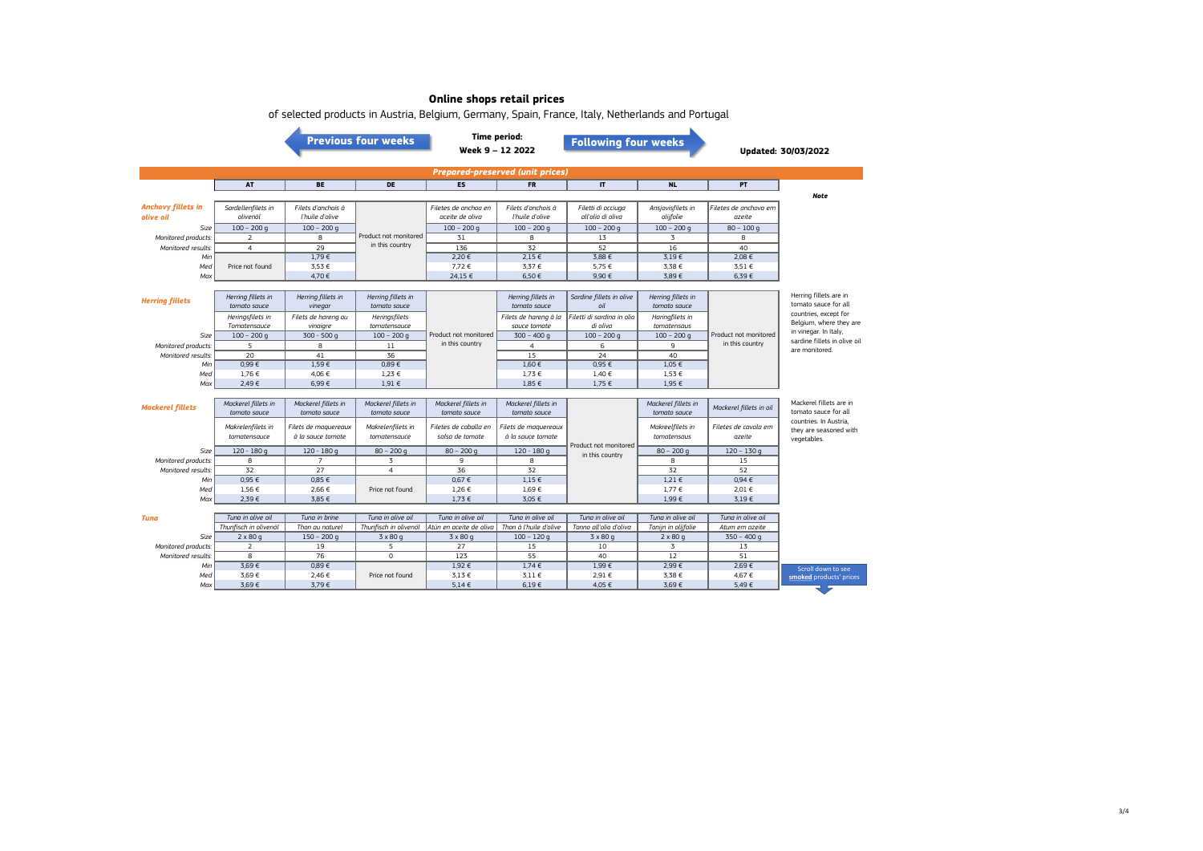|                                         |                                     |                                           | <b>Previous four weeks</b>          |                                          | <b>Time period:</b><br>Week 9 - 12 2022   | <b>Following four weeks</b>             |                                     |                                 | <b>Updated: 30/03/2022</b>                                              |  |  |
|-----------------------------------------|-------------------------------------|-------------------------------------------|-------------------------------------|------------------------------------------|-------------------------------------------|-----------------------------------------|-------------------------------------|---------------------------------|-------------------------------------------------------------------------|--|--|
| <b>Prepared-preserved (unit prices)</b> |                                     |                                           |                                     |                                          |                                           |                                         |                                     |                                 |                                                                         |  |  |
|                                         | AT                                  | <b>BE</b>                                 | DE                                  | <b>ES</b>                                | <b>FR</b>                                 | $\mathsf{I}\mathsf{T}$                  | <b>NL</b>                           | PT                              |                                                                         |  |  |
| <b>Anchovy fillets in</b><br>olive oil  | Sardellenfilets in<br>olivenöl      | Filets d'anchois à<br>l'huile d'olive     |                                     | Filetes de anchoa en<br>aceite de oliva  | Filets d'anchois à<br>l'huile d'olive     | Filetti di acciuga<br>all'olio di oliva | Ansjovisfilets in<br>olijfolie      | Filetes de anchova em<br>azeite | <b>Note</b>                                                             |  |  |
| Size                                    | $100 - 200$ q                       | $100 - 200$ q                             | Product not monitored               | $100 - 200$ q                            | $100 - 200$ q                             | $100 - 200$ q                           | $100 - 200$ g                       | $80 - 100q$                     |                                                                         |  |  |
| Monitored products:                     | 2                                   | 8                                         | in this country                     | 31                                       | 8                                         | 13                                      | 3                                   | 8                               |                                                                         |  |  |
| Monitored results.                      | $\overline{4}$                      | 29                                        |                                     | 136                                      | 32                                        | 52                                      | 16                                  | 40                              |                                                                         |  |  |
| Min                                     | Price not found                     | 1,79€<br>3,53 €                           |                                     | 2,20 €<br>7,72 €                         | $2,15 \in$<br>3,37 €                      | 3,88 €<br>5,75 €                        | 3,19€<br>3,38 €                     | 2,08 €                          |                                                                         |  |  |
| Med<br>Max                              |                                     | 4,70€                                     |                                     | 24,15 €                                  | 6,50€                                     | 9,90€                                   | 3,89€                               | 3,51 €<br>6,39€                 |                                                                         |  |  |
|                                         |                                     |                                           |                                     |                                          |                                           |                                         |                                     |                                 |                                                                         |  |  |
| <b>Herring fillets</b>                  | Herring fillets in<br>tomato sauce  | Herring fillets in<br>vinegar             | Herring fillets in<br>tomato sauce  |                                          | Herring fillets in<br>tomato sauce        | Sardine fillets in olive<br>oil         | Herring fillets in<br>tomato sauce  |                                 | Herring fillets are in<br>tomato sauce for all<br>countries, except for |  |  |
|                                         | Heringsfilets in                    | Filets de hareng au                       | Heringsfilets                       |                                          | Filets de hareng à la                     | Filetti di sardina in olio              | Haringfilets in                     |                                 | Belgium, where they are                                                 |  |  |
|                                         | Tomatensauce                        | vinaigre                                  | tomatensauce                        | Product not monitored                    | sauce tomate                              | di oliva                                | tomatensaus                         | Product not monitored           | in vinegar. In Italy,                                                   |  |  |
| Size                                    | $100 - 200$ q                       | $300 - 500q$                              | $100 - 200$ q                       | in this country                          | $300 - 400q$                              | $100 - 200$ q                           | $100 - 200$ q                       | in this country                 | sardine fillets in olive oil                                            |  |  |
| Monitored products:                     | 5                                   | 8                                         | 11                                  |                                          | $\overline{4}$                            | 6                                       | 9                                   |                                 | are monitored.                                                          |  |  |
| Monitored results:                      | 20                                  | 41                                        | 36                                  |                                          | 15                                        | 24                                      | 40                                  |                                 |                                                                         |  |  |
| Min                                     | 0.99€                               | 1.59€                                     | 0.89€                               |                                          | 1.60€                                     | 0.95 €                                  | 1.05 €                              |                                 |                                                                         |  |  |
| Med                                     | 1,76 €                              | 4,06 €                                    | $1,23 \in$                          |                                          | 1,73 €                                    | 1,40 €                                  | 1,53 €                              |                                 |                                                                         |  |  |
| Max                                     | 2,49€                               | 6,99€                                     | 1,91 €                              |                                          | 1,85 €                                    | 1,75 €                                  | 1,95 €                              |                                 |                                                                         |  |  |
| <b>Mackerel fillets</b>                 | Mackerel fillets in<br>tomato sauce | Mackerel fillets in<br>tomato sauce       | Mackerel fillets in<br>tomato sauce | Mackerel fillets in<br>tomato sauce      | Mackerel fillets in<br>tomato sauce       |                                         | Mackerel fillets in<br>tomato sauce | Mackerel fillets in oil         | Mackerel fillets are in<br>tomato sauce for all                         |  |  |
|                                         | Makrelenfilets in<br>tomatensauce   | Filets de maquereaux<br>à la sauce tomate | Makrelenfilets in<br>tomatensauce   | Filetes de caballa en<br>salsa de tomate | Filets de maguereaux<br>à la sauce tomate |                                         | Makreelfilets in<br>tomatensaus     | Filetes de cavala em<br>azeite  | countries. In Austria.<br>they are seasoned with<br>vegetables.         |  |  |
| Size                                    | $120 - 180g$                        | $120 - 180q$                              | $80 - 200$ q                        | $80 - 200$ q                             | $120 - 180q$                              | Product not monitored                   | $80 - 200$ g                        | $120 - 130q$                    |                                                                         |  |  |
| Monitored products:                     | 8                                   | $\overline{7}$                            | $\overline{3}$                      | 9                                        | 8                                         | in this country                         | 8                                   | 15                              |                                                                         |  |  |
| Monitored results:                      | 32                                  | 27                                        | 4                                   | 36                                       | 32                                        |                                         | 32                                  | 52                              |                                                                         |  |  |
| Min                                     | 0.95E                               | 0.85E                                     |                                     | 0.67E                                    | 1.15E                                     |                                         | $1,21 \in$                          | 0.94E                           |                                                                         |  |  |
| Med                                     | 1,56 €                              | 2,66 €                                    | Price not found                     | 1,26 €                                   | 1,69€                                     |                                         | 1,77 €                              | 2,01 €                          |                                                                         |  |  |
| Max                                     | 2,39€                               | 3,85 €                                    |                                     | 1,73 €                                   | 3,05 €                                    |                                         | 1,99€                               | 3.19E                           |                                                                         |  |  |
|                                         |                                     |                                           |                                     |                                          |                                           |                                         |                                     |                                 |                                                                         |  |  |
| Tuna                                    | Tuna in olive oil                   | Tuna in brine                             | Tuna in olive oil                   | Tuna in olive oil                        | Tuna in olive oil                         | Tuna in olive oil                       | Tuna in olive oil                   | Tuna in olive oil               |                                                                         |  |  |
|                                         | Thunfisch in olivenöl               | Thon au naturel                           | Thunfisch in olivenöl               | Atún en aceite de oliva                  | Thon à l'huile d'olive                    | Tonno all'olio d'oliva                  | Tonijn in olijfolie                 | Atum em azeite                  |                                                                         |  |  |
| Size                                    | $2 \times 80q$                      | $150 - 200$ g                             | $3 \times 80q$                      | $3 \times 80$ g                          | $100 - 120$ g                             | $3 \times 80$ g                         | $2 \times 80q$                      | $350 - 400q$                    |                                                                         |  |  |
| Monitored products:                     | 2                                   | 19                                        | 5                                   | 27                                       | 15                                        | 10                                      | 3                                   | 13                              |                                                                         |  |  |
| Monitored results:                      | 8                                   | 76                                        | $\overline{0}$                      | 123                                      | 55                                        | 40                                      | 12                                  | 51                              |                                                                         |  |  |
| Min                                     | 3,69€                               | 0,89€                                     |                                     | 1,92 €                                   | $1,74 \in$                                | 1,99€                                   | 2,99€                               | 2.69€                           | Scroll down to see                                                      |  |  |
| Med                                     | 3,69€                               | 2,46 €                                    | Price not found                     | 3,13 €                                   | $3.11 \in$                                | 2,91 €                                  | 3,38 €                              | 4,67 €                          | smoked products' prices                                                 |  |  |
| Max                                     | 3,69€                               | 3,79€                                     |                                     | $5.14 \in$                               | $6,19 \in$                                | 4,05 €                                  | 3,69€                               | 5,49€                           |                                                                         |  |  |

of selected products in Austria, Belgium, Germany, Spain, France, Italy, Netherlands and Portugal